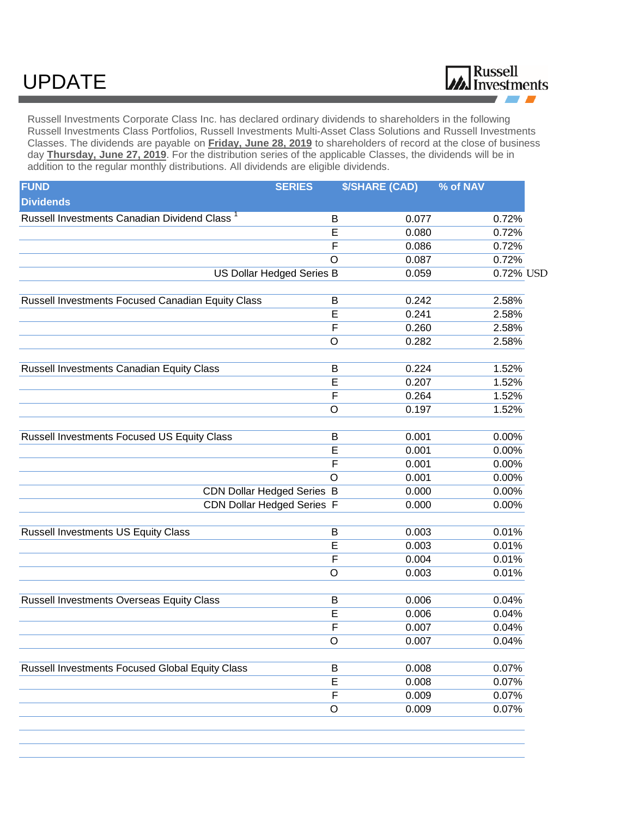## UPDATE



Russell Investments Corporate Class Inc. has declared ordinary dividends to shareholders in the following Russell Investments Class Portfolios, Russell Investments Multi-Asset Class Solutions and Russell Investments Classes. The dividends are payable on **Friday, June 28, 2019** to shareholders of record at the close of business day **Thursday, June 27, 2019**. For the distribution series of the applicable Classes, the dividends will be in addition to the regular monthly distributions. All dividends are eligible dividends.

| <b>FUND</b>                                              | <b>SERIES</b>             | <b>\$/SHARE (CAD)</b> | % of NAV                |
|----------------------------------------------------------|---------------------------|-----------------------|-------------------------|
| <b>Dividends</b>                                         |                           |                       |                         |
| Russell Investments Canadian Dividend Class <sup>1</sup> | B                         | 0.077                 | 0.72%                   |
|                                                          | E                         | 0.080                 | 0.72%                   |
|                                                          | F                         | 0.086                 | 0.72%                   |
|                                                          | O                         | 0.087                 | 0.72%                   |
|                                                          | US Dollar Hedged Series B | 0.059                 | $0.\overline{72\%}$ USD |
| Russell Investments Focused Canadian Equity Class        | B                         | 0.242                 | 2.58%                   |
|                                                          | E                         | 0.241                 | 2.58%                   |
|                                                          | $\overline{F}$            | 0.260                 | 2.58%                   |
|                                                          | O                         | 0.282                 | 2.58%                   |
| Russell Investments Canadian Equity Class                | B                         | 0.224                 | 1.52%                   |
|                                                          | $\overline{E}$            | 0.207                 | 1.52%                   |
|                                                          | F                         | 0.264                 | 1.52%                   |
|                                                          | $\circ$                   | 0.197                 | 1.52%                   |
| Russell Investments Focused US Equity Class              | B                         | 0.001                 | 0.00%                   |
|                                                          | E                         | 0.001                 | 0.00%                   |
|                                                          | F                         | 0.001                 | 0.00%                   |
|                                                          | $\circ$                   | 0.001                 | 0.00%                   |
| <b>CDN Dollar Hedged Series B</b>                        |                           | 0.000                 | 0.00%                   |
| CDN Dollar Hedged Series F                               |                           | 0.000                 | 0.00%                   |
| <b>Russell Investments US Equity Class</b>               | B                         | 0.003                 | 0.01%                   |
|                                                          | E                         | 0.003                 | 0.01%                   |
|                                                          | F                         | 0.004                 | 0.01%                   |
|                                                          | O                         | 0.003                 | 0.01%                   |
| <b>Russell Investments Overseas Equity Class</b>         | B                         | 0.006                 | 0.04%                   |
|                                                          | E                         | 0.006                 | 0.04%                   |
|                                                          | $\mathsf F$               | 0.007                 | 0.04%                   |
|                                                          | $\Omega$                  | 0.007                 | 0.04%                   |
| Russell Investments Focused Global Equity Class          | B                         | 0.008                 | 0.07%                   |
|                                                          | $\overline{E}$            | 0.008                 | 0.07%                   |
|                                                          | F                         | 0.009                 | 0.07%                   |
|                                                          | $\circ$                   | 0.009                 | 0.07%                   |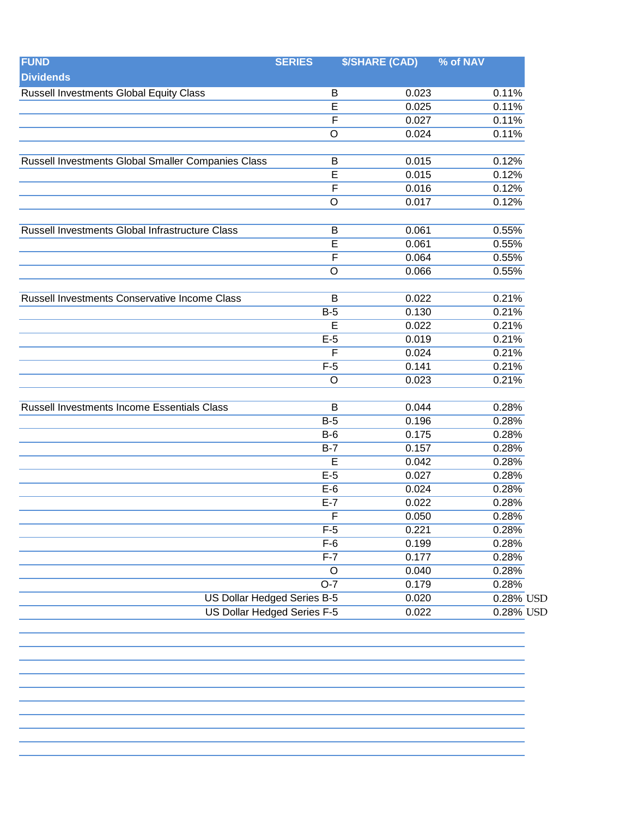| <b>FUND</b>                                        | <b>SERIES</b>               | <b>\$/SHARE (CAD)</b> | % of NAV  |
|----------------------------------------------------|-----------------------------|-----------------------|-----------|
| <b>Dividends</b>                                   |                             |                       |           |
| <b>Russell Investments Global Equity Class</b>     | В                           | 0.023                 | 0.11%     |
|                                                    | E                           | 0.025                 | 0.11%     |
|                                                    | $\overline{F}$              | 0.027                 | 0.11%     |
|                                                    | O                           | 0.024                 | 0.11%     |
| Russell Investments Global Smaller Companies Class |                             | 0.015                 | 0.12%     |
|                                                    | B<br>E                      | 0.015                 | 0.12%     |
|                                                    |                             |                       |           |
|                                                    | $\overline{F}$              | 0.016                 | 0.12%     |
|                                                    | O                           | 0.017                 | 0.12%     |
| Russell Investments Global Infrastructure Class    | B                           | 0.061                 | 0.55%     |
|                                                    | E                           | 0.061                 | 0.55%     |
|                                                    | $\mathsf{F}$                | 0.064                 | 0.55%     |
|                                                    | O                           | 0.066                 | 0.55%     |
| Russell Investments Conservative Income Class      | B                           | 0.022                 | 0.21%     |
|                                                    |                             |                       |           |
|                                                    | $B-5$                       | 0.130                 | 0.21%     |
|                                                    | E                           | 0.022                 | 0.21%     |
|                                                    | $E-5$                       | 0.019                 | 0.21%     |
|                                                    | F                           | 0.024                 | 0.21%     |
|                                                    | $F-5$                       | 0.141                 | 0.21%     |
|                                                    | $\circ$                     | 0.023                 | 0.21%     |
| Russell Investments Income Essentials Class        | B                           | 0.044                 | 0.28%     |
|                                                    | $B-5$                       | 0.196                 | 0.28%     |
|                                                    | $B-6$                       | 0.175                 | 0.28%     |
|                                                    | $B-7$                       | 0.157                 | 0.28%     |
|                                                    | E                           | 0.042                 | 0.28%     |
|                                                    | $E-5$                       | 0.027                 | 0.28%     |
|                                                    | $E-6$                       | 0.024                 | 0.28%     |
|                                                    | $E-7$                       | 0.022                 | 0.28%     |
|                                                    | F                           | 0.050                 | 0.28%     |
|                                                    | $F-5$                       | 0.221                 | 0.28%     |
|                                                    | $F-6$                       | 0.199                 | 0.28%     |
|                                                    | $F-7$                       | 0.177                 | 0.28%     |
|                                                    | $\circ$                     | 0.040                 | 0.28%     |
|                                                    | $O-7$                       | 0.179                 | 0.28%     |
|                                                    | US Dollar Hedged Series B-5 | 0.020                 | 0.28% USD |
|                                                    | US Dollar Hedged Series F-5 | 0.022                 | 0.28% USD |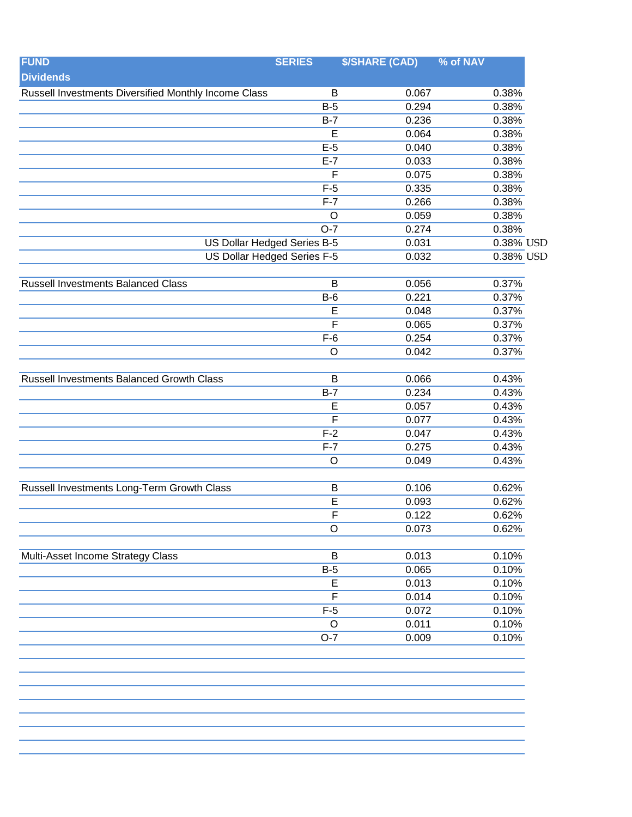| <b>FUND</b>                                          | <b>SERIES</b>                | <b>\$/SHARE (CAD)</b> | % of NAV       |
|------------------------------------------------------|------------------------------|-----------------------|----------------|
| <b>Dividends</b>                                     |                              |                       |                |
| Russell Investments Diversified Monthly Income Class | B                            | 0.067                 | 0.38%          |
|                                                      | $B-5$                        | 0.294                 | 0.38%          |
|                                                      | $B-7$                        | 0.236                 | 0.38%          |
|                                                      | E                            | 0.064                 | 0.38%          |
|                                                      | $E-5$                        | 0.040                 | 0.38%          |
|                                                      | $E-7$                        | 0.033                 | 0.38%          |
|                                                      | F                            | 0.075                 | 0.38%          |
|                                                      | $F-5$                        | 0.335                 | 0.38%          |
|                                                      | $F-7$                        | 0.266                 | 0.38%          |
|                                                      | $\circ$                      | 0.059                 | 0.38%          |
|                                                      | $O-7$                        | 0.274                 | 0.38%          |
| US Dollar Hedged Series B-5                          |                              | 0.031                 | 0.38% USD      |
| <b>US Dollar Hedged Series F-5</b>                   |                              | 0.032                 | 0.38% USD      |
|                                                      |                              |                       |                |
| <b>Russell Investments Balanced Class</b>            | B<br>$B-6$                   | 0.056<br>0.221        | 0.37%<br>0.37% |
|                                                      |                              | 0.048                 |                |
|                                                      | E<br>$\overline{\mathsf{F}}$ | 0.065                 | 0.37%<br>0.37% |
|                                                      | $F-6$                        | 0.254                 | 0.37%          |
|                                                      | $\circ$                      | 0.042                 | 0.37%          |
|                                                      |                              |                       |                |
| Russell Investments Balanced Growth Class            | B                            | 0.066                 | 0.43%          |
|                                                      | $B-7$                        | 0.234                 | 0.43%          |
|                                                      | E                            | 0.057                 | 0.43%          |
|                                                      | F                            | 0.077                 | 0.43%          |
|                                                      | $F-2$                        | 0.047                 | 0.43%          |
|                                                      | $F-7$                        | 0.275                 | 0.43%          |
|                                                      | $\circ$                      | 0.049                 | 0.43%          |
| Russell Investments Long-Term Growth Class           | B                            | 0.106                 | 0.62%          |
|                                                      | E                            | 0.093                 | 0.62%          |
|                                                      | $\overline{F}$               | 0.122                 | 0.62%          |
|                                                      | $\circ$                      | 0.073                 | 0.62%          |
|                                                      |                              |                       |                |
| Multi-Asset Income Strategy Class                    | B                            | 0.013                 | 0.10%          |
|                                                      | $B-5$                        | 0.065                 | 0.10%          |
|                                                      | E                            | 0.013                 | 0.10%          |
|                                                      | F                            | 0.014                 | 0.10%          |
|                                                      | $F-5$                        | 0.072                 | 0.10%          |
|                                                      | $\circ$                      | 0.011                 | 0.10%          |
|                                                      | $O-7$                        | 0.009                 | 0.10%          |
|                                                      |                              |                       |                |
|                                                      |                              |                       |                |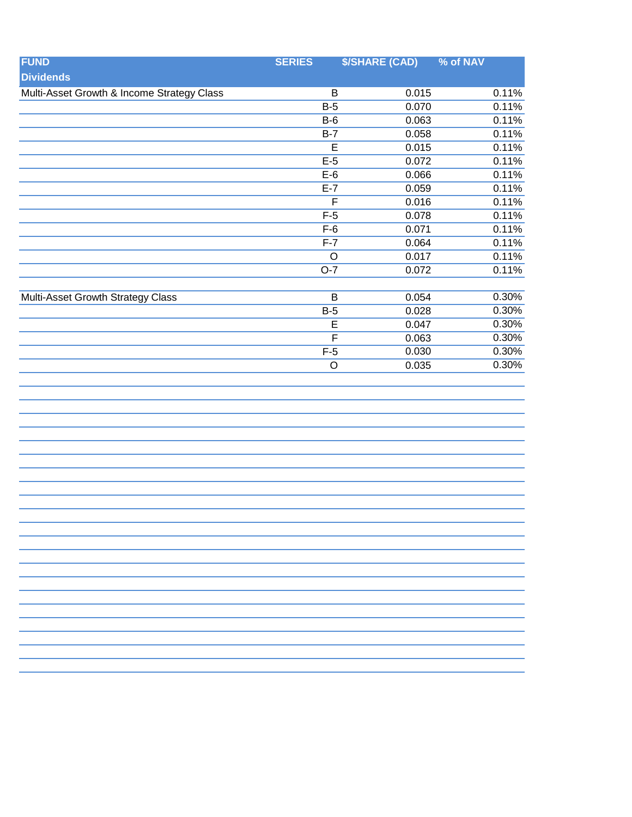| <b>FUND</b>                                | <b>SERIES</b>           | <b>\$/SHARE (CAD)</b> | % of NAV |
|--------------------------------------------|-------------------------|-----------------------|----------|
| <b>Dividends</b>                           |                         |                       |          |
| Multi-Asset Growth & Income Strategy Class | B                       | 0.015                 | 0.11%    |
|                                            | $B-5$                   | 0.070                 | 0.11%    |
|                                            | $B-6$                   | 0.063                 | 0.11%    |
|                                            | $B-7$                   | 0.058                 | 0.11%    |
|                                            | $\overline{E}$          | 0.015                 | 0.11%    |
|                                            | $E-5$                   | 0.072                 | 0.11%    |
|                                            | $E-6$                   | 0.066                 | 0.11%    |
|                                            | $E-7$                   | 0.059                 | 0.11%    |
|                                            | $\overline{\mathsf{F}}$ | 0.016                 | 0.11%    |
|                                            | $F-5$                   | 0.078                 | 0.11%    |
|                                            | $F-6$                   | 0.071                 | 0.11%    |
|                                            | $F-7$                   | 0.064                 | 0.11%    |
|                                            | $\overline{O}$          | 0.017                 | 0.11%    |
|                                            | $O-7$                   | 0.072                 | 0.11%    |
|                                            |                         |                       |          |
| Multi-Asset Growth Strategy Class          | $\sf B$                 | 0.054                 | 0.30%    |
|                                            | $B-5$                   | 0.028                 | 0.30%    |
|                                            | $\overline{E}$          | 0.047                 | 0.30%    |
|                                            | $\overline{\mathsf{F}}$ | 0.063                 | 0.30%    |
|                                            | $F-5$                   | 0.030                 | 0.30%    |
|                                            | $\overline{O}$          | 0.035                 | 0.30%    |
|                                            |                         |                       |          |
|                                            |                         |                       |          |
|                                            |                         |                       |          |
|                                            |                         |                       |          |
|                                            |                         |                       |          |
|                                            |                         |                       |          |
|                                            |                         |                       |          |
|                                            |                         |                       |          |
|                                            |                         |                       |          |
|                                            |                         |                       |          |
|                                            |                         |                       |          |
|                                            |                         |                       |          |
|                                            |                         |                       |          |
|                                            |                         |                       |          |
|                                            |                         |                       |          |
|                                            |                         |                       |          |
|                                            |                         |                       |          |
|                                            |                         |                       |          |
|                                            |                         |                       |          |
|                                            |                         |                       |          |
|                                            |                         |                       |          |
|                                            |                         |                       |          |